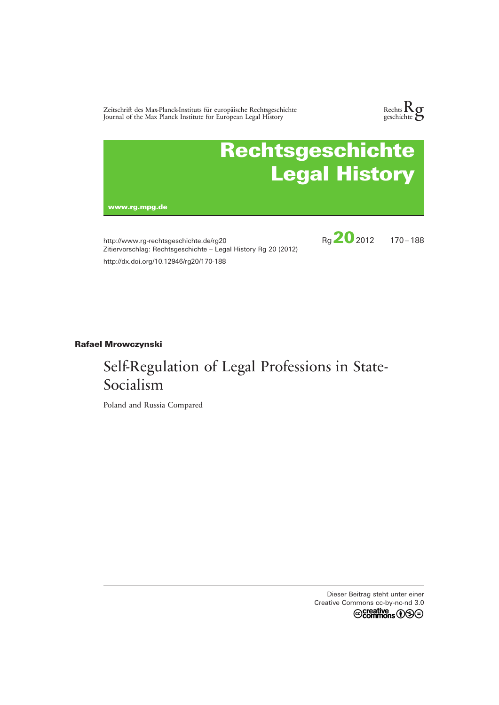Zeitschrift des Max-Planck-Instituts für europäische Rechtsgeschichte Journal of the Max Planck Institute for European Legal History



# Rechtsgeschichte Legal History

www.rg.mpg.de

http://www.rg-rechtsgeschichte.de/rg20 Zitiervorschlag: Rechtsgeschichte – Legal History Rg 20 (2012) http://dx.doi.org/10.12946/rg20/170-188



# **Rafael Mrowczynski**

# Self-Regulation of Legal Professions in State-Socialism

Poland and Russia Compared

Dieser Beitrag steht unter einer Creative Commons cc-by-nc-nd 3.0<br>
Commons  $\bigcirc$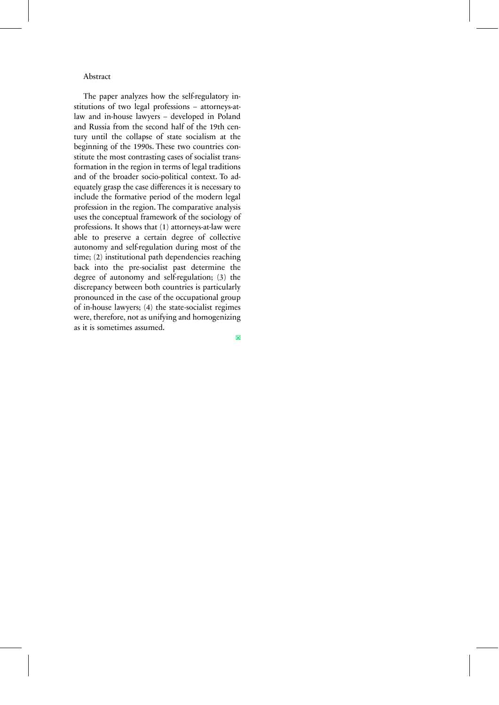#### Abstract

The paper analyzes how the self-regulatory institutions of two legal professions – attorneys-atlaw and in-house lawyers – developed in Poland and Russia from the second half of the 19th century until the collapse of state socialism at the beginning of the 1990s. These two countries constitute the most contrasting cases of socialist transformation in the region in terms of legal traditions and of the broader socio-political context. To adequately grasp the case differences it is necessary to include the formative period of the modern legal profession in the region. The comparative analysis uses the conceptual framework of the sociology of professions. It shows that (1) attorneys-at-law were able to preserve a certain degree of collective autonomy and self-regulation during most of the time; (2) institutional path dependencies reaching back into the pre-socialist past determine the degree of autonomy and self-regulation; (3) the discrepancy between both countries is particularly pronounced in the case of the occupational group of in-house lawyers; (4) the state-socialist regimes were, therefore, not as unifying and homogenizing as it is sometimes assumed.

□×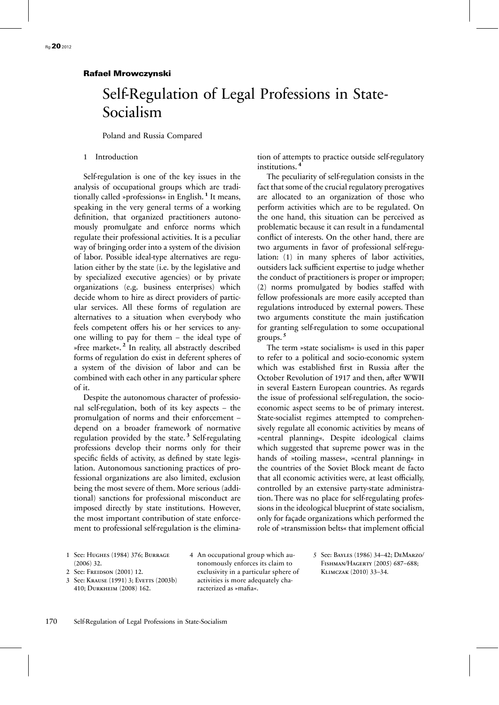# Self-Regulation of Legal Professions in State-Socialism

Poland and Russia Compared

#### 1 Introduction

Self-regulation is one of the key issues in the analysis of occupational groups which are traditionally called »professions« in English. **<sup>1</sup>** It means, speaking in the very general terms of a working definition, that organized practitioners autonomously promulgate and enforce norms which regulate their professional activities. It is a peculiar way of bringing order into a system of the division of labor. Possible ideal-type alternatives are regulation either by the state (i.e. by the legislative and by specialized executive agencies) or by private organizations (e.g. business enterprises) which decide whom to hire as direct providers of particular services. All these forms of regulation are alternatives to a situation when everybody who feels competent offers his or her services to anyone willing to pay for them – the ideal type of »free market«. **<sup>2</sup>** In reality, all abstractly described forms of regulation do exist in deferent spheres of a system of the division of labor and can be combined with each other in any particular sphere of it.

Despite the autonomous character of professional self-regulation, both of its key aspects – the promulgation of norms and their enforcement – depend on a broader framework of normative regulation provided by the state. **<sup>3</sup>** Self-regulating professions develop their norms only for their specific fields of activity, as defined by state legislation. Autonomous sanctioning practices of professional organizations are also limited, exclusion being the most severe of them. More serious (additional) sanctions for professional misconduct are imposed directly by state institutions. However, the most important contribution of state enforcement to professional self-regulation is the elimination of attempts to practice outside self-regulatory institutions. **<sup>4</sup>**

The peculiarity of self-regulation consists in the fact that some of the crucial regulatory prerogatives are allocated to an organization of those who perform activities which are to be regulated. On the one hand, this situation can be perceived as problematic because it can result in a fundamental conflict of interests. On the other hand, there are two arguments in favor of professional self-regulation: (1) in many spheres of labor activities, outsiders lack sufficient expertise to judge whether the conduct of practitioners is proper or improper; (2) norms promulgated by bodies staffed with fellow professionals are more easily accepted than regulations introduced by external powers. These two arguments constitute the main justification for granting self-regulation to some occupational groups. **<sup>5</sup>**

The term »state socialism« is used in this paper to refer to a political and socio-economic system which was established first in Russia after the October Revolution of 1917 and then, after WWII in several Eastern European countries. As regards the issue of professional self-regulation, the socioeconomic aspect seems to be of primary interest. State-socialist regimes attempted to comprehensively regulate all economic activities by means of »central planning«. Despite ideological claims which suggested that supreme power was in the hands of »toiling masses«, »central planning« in the countries of the Soviet Block meant de facto that all economic activities were, at least officially, controlled by an extensive party-state administration. There was no place for self-regulating professions in the ideological blueprint of state socialism, only for façade organizations which performed the role of »transmission belts« that implement official

- 1 See: Hughes (1984) 376; Burrage (2006) 32.
- 2. See: Freidson (2001) 12.
- 3 See: KRAUSE (1991) 3; EVETTS (2003b) 410; Durkheim (2008) 162.

4 An occupational group which autonomously enforces its claim to exclusivity in a particular sphere of activities is more adequately characterized as »mafia«.

5 See: Bayles (1986) 34–42; DeMarzo/ Fishman/Hagerty (2005) 687–688; Klimczak (2010) 33–34.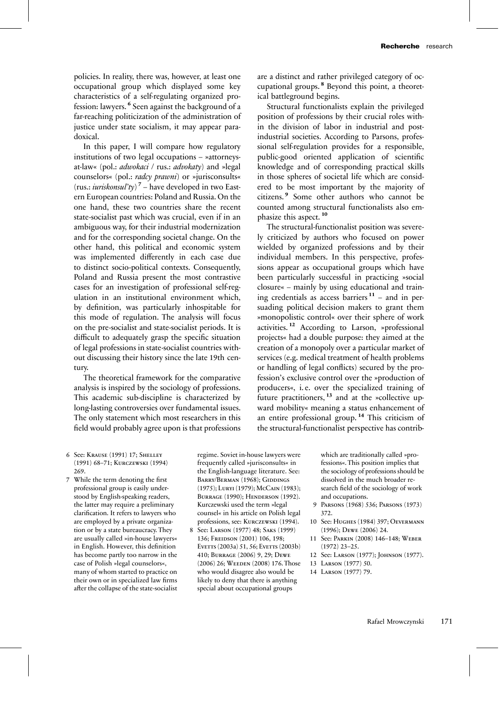policies. In reality, there was, however, at least one occupational group which displayed some key characteristics of a self-regulating organized profession: lawyers. **<sup>6</sup>** Seen against the background of a far-reaching politicization of the administration of justice under state socialism, it may appear paradoxical.

In this paper, I will compare how regulatory institutions of two legal occupations – »attorneysat-law« (pol.: *adwokaci* / rus.: *advokaty*) and »legal counselors« (pol.: *radcy prawni*) or »jurisconsults« (rus.: *iuriskonsul'ty*) **<sup>7</sup>** – have developed in two Eastern European countries: Poland and Russia. On the one hand, these two countries share the recent state-socialist past which was crucial, even if in an ambiguous way, for their industrial modernization and for the corresponding societal change. On the other hand, this political and economic system was implemented differently in each case due to distinct socio-political contexts. Consequently, Poland and Russia present the most contrastive cases for an investigation of professional self-regulation in an institutional environment which, by definition, was particularly inhospitable for this mode of regulation. The analysis will focus on the pre-socialist and state-socialist periods. It is difficult to adequately grasp the specific situation of legal professions in state-socialist countries without discussing their history since the late 19th century.

The theoretical framework for the comparative analysis is inspired by the sociology of professions. This academic sub-discipline is characterized by long-lasting controversies over fundamental issues. The only statement which most researchers in this field would probably agree upon is that professions are a distinct and rather privileged category of occupational groups. **<sup>8</sup>** Beyond this point, a theoretical battleground begins.

Structural functionalists explain the privileged position of professions by their crucial roles within the division of labor in industrial and postindustrial societies. According to Parsons, professional self-regulation provides for a responsible, public-good oriented application of scientific knowledge and of corresponding practical skills in those spheres of societal life which are considered to be most important by the majority of citizens. **<sup>9</sup>** Some other authors who cannot be counted among structural functionalists also emphasize this aspect. **<sup>10</sup>**

The structural-functionalist position was severely criticized by authors who focused on power wielded by organized professions and by their individual members. In this perspective, professions appear as occupational groups which have been particularly successful in practicing »social closure« – mainly by using educational and training credentials as access barriers  $11$  – and in persuading political decision makers to grant them »monopolistic control« over their sphere of work activities. **<sup>12</sup>** According to Larson, »professional projects« had a double purpose: they aimed at the creation of a monopoly over a particular market of services (e.g. medical treatment of health problems or handling of legal conflicts) secured by the profession's exclusive control over the »production of producers«, i. e. over the specialized training of future practitioners, **<sup>13</sup>** and at the »collective upward mobility« meaning a status enhancement of an entire professional group. **<sup>14</sup>** This criticism of the structural-functionalist perspective has contrib-

- 6 See: Krause (1991) 17; Shelley (1991) 68–71; Kurczewski (1994) 269.
- 7 While the term denoting the first professional group is easily understood by English-speaking readers, the latter may require a preliminary clarification. It refers to lawyers who are employed by a private organization or by a state bureaucracy. They are usually called »in-house lawyers« in English. However, this definition has become partly too narrow in the case of Polish »legal counselors«, many of whom started to practice on their own or in specialized law firms after the collapse of the state-socialist

regime. Soviet in-house lawyers were frequently called »jurisconsults« in the English-language literature. See: BARRY/BERMAN (1968); GIDDINGS (1975); LURYI (1979); McCain (1983); Burrage (1990); Henderson (1992). Kurczewski used the term »legal counsel« in his article on Polish legal professions, see: Kurczewski (1994).

8 See: Larson (1977) 48; Saks (1999) 136; Freidson (2001) 106, 198; Everts (2003a) 51, 56; Everts (2003b) 410; Burrage (2006) 9, 29; Dewe (2006) 26; Weeden (2008) 176.Those who would disagree also would be likely to deny that there is anything special about occupational groups

which are traditionally called »professions«. This position implies that the sociology of professions should be dissolved in the much broader research field of the sociology of work and occupations.

- 9 Parsons (1968) 536; Parsons (1973) 372.
- 10 See: Hughes (1984) 397; Oevermann (1996); Dewe (2006) 24.
- 11 See: Parkin (2008) 146–148; Weber (1972) 23–25.
- 12 See: Larson (1977); Johnson (1977).
- 13 Larson (1977) 50.
- 14 Larson (1977) 79.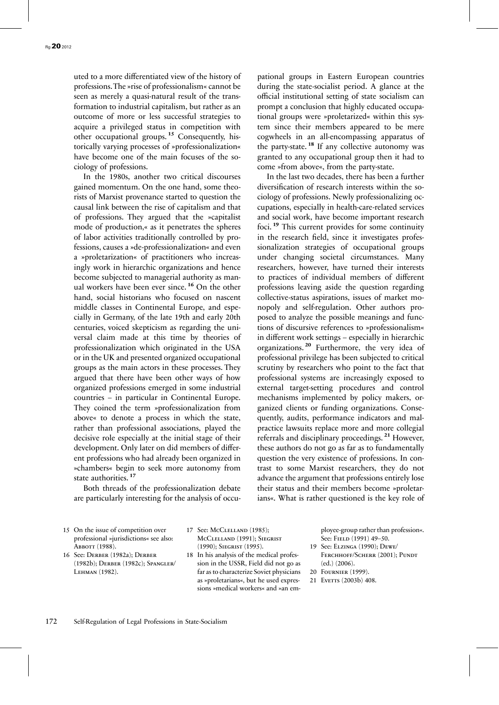uted to a more differentiated view of the history of professions.The »rise of professionalism« cannot be seen as merely a quasi-natural result of the transformation to industrial capitalism, but rather as an outcome of more or less successful strategies to acquire a privileged status in competition with other occupational groups. **<sup>15</sup>** Consequently, historically varying processes of »professionalization« have become one of the main focuses of the sociology of professions.

In the 1980s, another two critical discourses gained momentum. On the one hand, some theorists of Marxist provenance started to question the causal link between the rise of capitalism and that of professions. They argued that the »capitalist mode of production,« as it penetrates the spheres of labor activities traditionally controlled by professions, causes a »de-professionalization« and even a »proletarization« of practitioners who increasingly work in hierarchic organizations and hence become subjected to managerial authority as manual workers have been ever since. **<sup>16</sup>** On the other hand, social historians who focused on nascent middle classes in Continental Europe, and especially in Germany, of the late 19th and early 20th centuries, voiced skepticism as regarding the universal claim made at this time by theories of professionalization which originated in the USA or in the UK and presented organized occupational groups as the main actors in these processes. They argued that there have been other ways of how organized professions emerged in some industrial countries – in particular in Continental Europe. They coined the term »professionalization from above« to denote a process in which the state, rather than professional associations, played the decisive role especially at the initial stage of their development. Only later on did members of different professions who had already been organized in »chambers« begin to seek more autonomy from state authorities. **<sup>17</sup>**

Both threads of the professionalization debate are particularly interesting for the analysis of occu-

pational groups in Eastern European countries during the state-socialist period. A glance at the official institutional setting of state socialism can prompt a conclusion that highly educated occupational groups were »proletarized« within this system since their members appeared to be mere cogwheels in an all-encompassing apparatus of the party-state. **<sup>18</sup>** If any collective autonomy was granted to any occupational group then it had to come »from above«, from the party-state.

In the last two decades, there has been a further diversification of research interests within the sociology of professions. Newly professionalizing occupations, especially in health-care-related services and social work, have become important research foci. **<sup>19</sup>** This current provides for some continuity in the research field, since it investigates professionalization strategies of occupational groups under changing societal circumstances. Many researchers, however, have turned their interests to practices of individual members of different professions leaving aside the question regarding collective-status aspirations, issues of market monopoly and self-regulation. Other authors proposed to analyze the possible meanings and functions of discursive references to »professionalism« in different work settings – especially in hierarchic organizations. **<sup>20</sup>** Furthermore, the very idea of professional privilege has been subjected to critical scrutiny by researchers who point to the fact that professional systems are increasingly exposed to external target-setting procedures and control mechanisms implemented by policy makers, organized clients or funding organizations. Consequently, audits, performance indicators and malpractice lawsuits replace more and more collegial referrals and disciplinary proceedings. **<sup>21</sup>** However, these authors do not go as far as to fundamentally question the very existence of professions. In contrast to some Marxist researchers, they do not advance the argument that professions entirely lose their status and their members become »proletarians«. What is rather questioned is the key role of

- 15 On the issue of competition over professional »jurisdictions« see also: Abbott (1988).
- 16 See: Derber (1982a); Derber (1982b); Derber (1982c); Spangler/ Lehman (1982).
- 17 See: McClelland (1985); McClelland (1991); Siegrist (1990); Siegrist (1995).
- 18 In his analysis of the medical profession in the USSR, Field did not go as far as to characterize Soviet physicians as »proletarians«, but he used expressions »medical workers« and »an em-

ployee-group rather than profession«. See: FIELD (1991) 49-50.

- 19 See: Elzinga (1990); Dewe/ Ferchhoff/Scherr (2001); Pundt (ed.) (2006).
- 20 Fournier (1999).
- 21 Everrs (2003b) 408.

172 Self-Regulation of Legal Professions in State-Socialism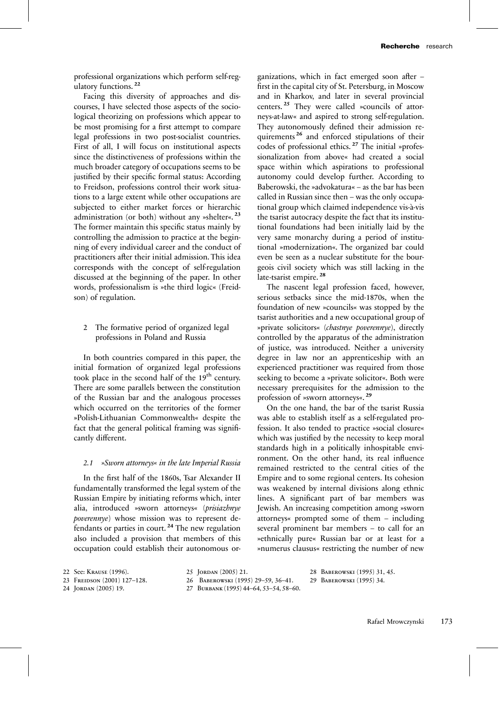professional organizations which perform self-regulatory functions. **<sup>22</sup>**

Facing this diversity of approaches and discourses, I have selected those aspects of the sociological theorizing on professions which appear to be most promising for a first attempt to compare legal professions in two post-socialist countries. First of all, I will focus on institutional aspects since the distinctiveness of professions within the much broader category of occupations seems to be justified by their specific formal status: According to Freidson, professions control their work situations to a large extent while other occupations are subjected to either market forces or hierarchic administration (or both) without any »shelter«. **<sup>23</sup>** The former maintain this specific status mainly by controlling the admission to practice at the beginning of every individual career and the conduct of practitioners after their initial admission. This idea corresponds with the concept of self-regulation discussed at the beginning of the paper. In other words, professionalism is »the third logic« (Freidson) of regulation.

# 2 The formative period of organized legal professions in Poland and Russia

In both countries compared in this paper, the initial formation of organized legal professions took place in the second half of the 19<sup>th</sup> century. There are some parallels between the constitution of the Russian bar and the analogous processes which occurred on the territories of the former »Polish-Lithuanian Commonwealth« despite the fact that the general political framing was significantly different.

#### *2.1 »Sworn attorneys« in the late Imperial Russia*

In the first half of the 1860s, Tsar Alexander II fundamentally transformed the legal system of the Russian Empire by initiating reforms which, inter alia, introduced »sworn attorneys« (*prisiazhnye poverennye*) whose mission was to represent defendants or parties in court. **<sup>24</sup>** The new regulation also included a provision that members of this occupation could establish their autonomous or-

ganizations, which in fact emerged soon after – first in the capital city of St. Petersburg, in Moscow and in Kharkov, and later in several provincial centers. **<sup>25</sup>** They were called »councils of attorneys-at-law« and aspired to strong self-regulation. They autonomously defined their admission requirements **<sup>26</sup>** and enforced stipulations of their codes of professional ethics. **<sup>27</sup>** The initial »professionalization from above« had created a social space within which aspirations to professional autonomy could develop further. According to Baberowski, the »advokatura« – as the bar has been called in Russian since then – was the only occupational group which claimed independence vis-à-vis the tsarist autocracy despite the fact that its institutional foundations had been initially laid by the very same monarchy during a period of institutional »modernization«. The organized bar could even be seen as a nuclear substitute for the bourgeois civil society which was still lacking in the late-tsarist empire. **<sup>28</sup>**

The nascent legal profession faced, however, serious setbacks since the mid-1870s, when the foundation of new »councils« was stopped by the tsarist authorities and a new occupational group of »private solicitors« (*chastnye poverennye*), directly controlled by the apparatus of the administration of justice, was introduced. Neither a university degree in law nor an apprenticeship with an experienced practitioner was required from those seeking to become a »private solicitor«. Both were necessary prerequisites for the admission to the profession of »sworn attorneys«. **<sup>29</sup>**

On the one hand, the bar of the tsarist Russia was able to establish itself as a self-regulated profession. It also tended to practice »social closure« which was justified by the necessity to keep moral standards high in a politically inhospitable environment. On the other hand, its real influence remained restricted to the central cities of the Empire and to some regional centers. Its cohesion was weakened by internal divisions along ethnic lines. A significant part of bar members was Jewish. An increasing competition among »sworn attorneys« prompted some of them – including several prominent bar members – to call for an »ethnically pure« Russian bar or at least for a »numerus clausus« restricting the number of new

- 24 Jordan (2005) 19.
- 25 Jordan (2005) 21.
- 26 Baberowski (1995) 29–59, 36–41.
- 27 Burbank (1995) 44–64, 53–54, 58–60.

28 Baberowski (1995) 31, 45. 29 Baberowski (1995) 34.

<sup>22</sup> See: Krause (1996).

<sup>23</sup> FREIDSON (2001) 127-128.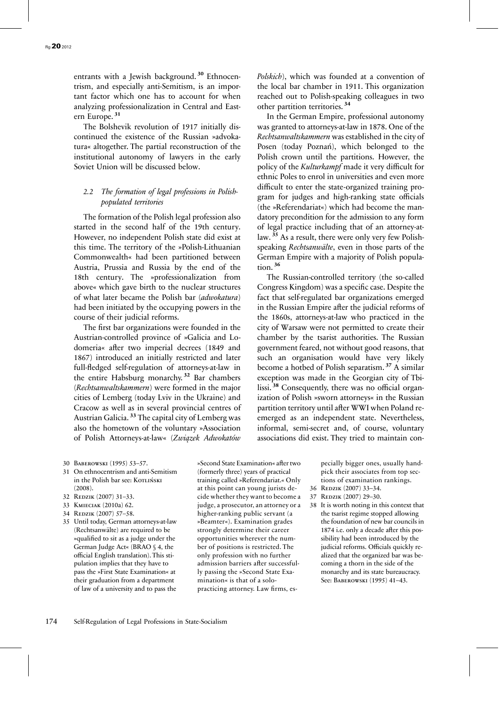entrants with a Jewish background. **<sup>30</sup>** Ethnocentrism, and especially anti-Semitism, is an important factor which one has to account for when analyzing professionalization in Central and Eastern Europe. **<sup>31</sup>**

The Bolshevik revolution of 1917 initially discontinued the existence of the Russian »advokatura« altogether. The partial reconstruction of the institutional autonomy of lawyers in the early Soviet Union will be discussed below.

# *2.2 The formation of legal professions in Polishpopulated territories*

The formation of the Polish legal profession also started in the second half of the 19th century. However, no independent Polish state did exist at this time. The territory of the »Polish-Lithuanian Commonwealth« had been partitioned between Austria, Prussia and Russia by the end of the 18th century. The »professionalization from above« which gave birth to the nuclear structures of what later became the Polish bar (*adwokatura*) had been initiated by the occupying powers in the course of their judicial reforms.

The first bar organizations were founded in the Austrian-controlled province of »Galicia and Lodomeria« after two imperial decrees (1849 and 1867) introduced an initially restricted and later full-fledged self-regulation of attorneys-at-law in the entire Habsburg monarchy. **<sup>32</sup>** Bar chambers (*Rechtsanwaltskammern*) were formed in the major cities of Lemberg (today Lviv in the Ukraine) and Cracow as well as in several provincial centres of Austrian Galicia. **<sup>33</sup>** The capital city of Lemberg was also the hometown of the voluntary »Association of Polish Attorneys-at-law« (*Związek Adwokatów*  *Polskich*), which was founded at a convention of the local bar chamber in 1911. This organization reached out to Polish-speaking colleagues in two other partition territories. **<sup>34</sup>**

In the German Empire, professional autonomy was granted to attorneys-at-law in 1878. One of the *Rechtsanwaltskammern* was established in the city of Posen (today Poznań), which belonged to the Polish crown until the partitions. However, the policy of the *Kulturkampf* made it very difficult for ethnic Poles to enrol in universities and even more difficult to enter the state-organized training program for judges and high-ranking state officials (the »Referendariat«) which had become the mandatory precondition for the admission to any form of legal practice including that of an attorney-atlaw. **<sup>35</sup>** As a result, there were only very few Polishspeaking *Rechtsanwälte*, even in those parts of the German Empire with a majority of Polish population. **<sup>36</sup>**

The Russian-controlled territory (the so-called Congress Kingdom) was a specific case. Despite the fact that self-regulated bar organizations emerged in the Russian Empire after the judicial reforms of the 1860s, attorneys-at-law who practiced in the city of Warsaw were not permitted to create their chamber by the tsarist authorities. The Russian government feared, not without good reasons, that such an organisation would have very likely become a hotbed of Polish separatism. **<sup>37</sup>** A similar exception was made in the Georgian city of Tbilissi. **<sup>38</sup>** Consequently, there was no official organization of Polish »sworn attorneys« in the Russian partition territory until after WWI when Poland reemerged as an independent state. Nevertheless, informal, semi-secret and, of course, voluntary associations did exist. They tried to maintain con-

- 30 Baberowski (1995) 53–57.
- 31 On ethnocentrism and anti-Semitism in the Polish bar see: KorLIŃSKI (2008).
- 32 REDZIK (2007) 31-33.
- 33 Kmieciak (2010a) 62.
- 34 REDZIK (2007) 57-58.
- 35 Until today, German attorneys-at-law (Rechtsanwälte) are required to be »qualified to sit as a judge under the German Judge Act« (BRAO § 4, the official English translation). This stipulation implies that they have to pass the »First State Examination« at their graduation from a department of law of a university and to pass the

»Second State Examination« after two (formerly three) years of practical training called »Referendariat.« Only at this point can young jurists decide whether they want to become a judge, a prosecutor, an attorney or a higher-ranking public servant (a »Beamter«). Examination grades strongly determine their career opportunities wherever the number of positions is restricted. The only profession with no further admission barriers after successfully passing the »Second State Examination« is that of a solopracticing attorney. Law firms, especially bigger ones, usually handpick their associates from top sections of examination rankings.

- 36 Redzik (2007) 33–34.
- 37 Redzik (2007) 29–30.
- 38 It is worth noting in this context that the tsarist regime stopped allowing the foundation of new bar councils in 1874 i.e. only a decade after this possibility had been introduced by the judicial reforms. Officials quickly realized that the organized bar was becoming a thorn in the side of the monarchy and its state bureaucracy. See: Baberowski (1995) 41–43.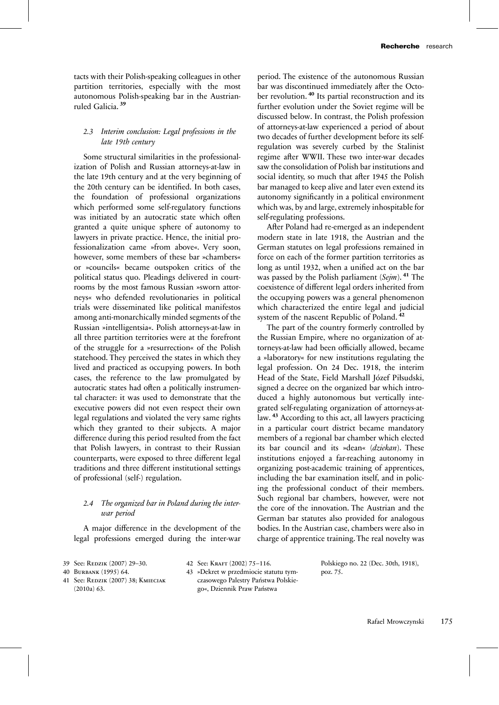tacts with their Polish-speaking colleagues in other partition territories, especially with the most autonomous Polish-speaking bar in the Austrianruled Galicia. **<sup>39</sup>**

## *2.3 Interim conclusion: Legal professions in the late 19th century*

Some structural similarities in the professionalization of Polish and Russian attorneys-at-law in the late 19th century and at the very beginning of the 20th century can be identified. In both cases, the foundation of professional organizations which performed some self-regulatory functions was initiated by an autocratic state which often granted a quite unique sphere of autonomy to lawyers in private practice. Hence, the initial professionalization came »from above«. Very soon, however, some members of these bar »chambers« or »councils« became outspoken critics of the political status quo. Pleadings delivered in courtrooms by the most famous Russian »sworn attorneys« who defended revolutionaries in political trials were disseminated like political manifestos among anti-monarchically minded segments of the Russian »intelligentsia«. Polish attorneys-at-law in all three partition territories were at the forefront of the struggle for a »resurrection« of the Polish statehood. They perceived the states in which they lived and practiced as occupying powers. In both cases, the reference to the law promulgated by autocratic states had often a politically instrumental character: it was used to demonstrate that the executive powers did not even respect their own legal regulations and violated the very same rights which they granted to their subjects. A major difference during this period resulted from the fact that Polish lawyers, in contrast to their Russian counterparts, were exposed to three different legal traditions and three different institutional settings of professional (self-) regulation.

# *2.4 The organized bar in Poland during the interwar period*

A major difference in the development of the legal professions emerged during the inter-war

period. The existence of the autonomous Russian bar was discontinued immediately after the October revolution. **<sup>40</sup>** Its partial reconstruction and its further evolution under the Soviet regime will be discussed below. In contrast, the Polish profession of attorneys-at-law experienced a period of about two decades of further development before its selfregulation was severely curbed by the Stalinist regime after WWII. These two inter-war decades saw the consolidation of Polish bar institutions and social identity, so much that after 1945 the Polish bar managed to keep alive and later even extend its autonomy significantly in a political environment which was, by and large, extremely inhospitable for self-regulating professions.

After Poland had re-emerged as an independent modern state in late 1918, the Austrian and the German statutes on legal professions remained in force on each of the former partition territories as long as until 1932, when a unified act on the bar was passed by the Polish parliament (*Sejm*). **<sup>41</sup>** The coexistence of different legal orders inherited from the occupying powers was a general phenomenon which characterized the entire legal and judicial system of the nascent Republic of Poland. **<sup>42</sup>**

The part of the country formerly controlled by the Russian Empire, where no organization of attorneys-at-law had been officially allowed, became a »laboratory« for new institutions regulating the legal profession. On 24 Dec. 1918, the interim Head of the State, Field Marshall Józef Piłsudski, signed a decree on the organized bar which introduced a highly autonomous but vertically integrated self-regulating organization of attorneys-atlaw. **<sup>43</sup>** According to this act, all lawyers practicing in a particular court district became mandatory members of a regional bar chamber which elected its bar council and its »dean« (*dziekan*). These institutions enjoyed a far-reaching autonomy in organizing post-academic training of apprentices, including the bar examination itself, and in policing the professional conduct of their members. Such regional bar chambers, however, were not the core of the innovation. The Austrian and the German bar statutes also provided for analogous bodies. In the Austrian case, chambers were also in charge of apprentice training. The real novelty was

40 Burbank (1995) 64.

41 See: Redzik (2007) 38; Kmieciak (2010a) 63.

- 42 See: Kraft (2002) 75–116.
- 43 »Dekret w przedmiocie statutu tymczasowego Palestry Państwa Polskiego«, Dziennik Praw Państwa

Polskiego no. 22 (Dec. 30th, 1918), poz. 75.

<sup>39</sup> See: REDZIK (2007) 29-30.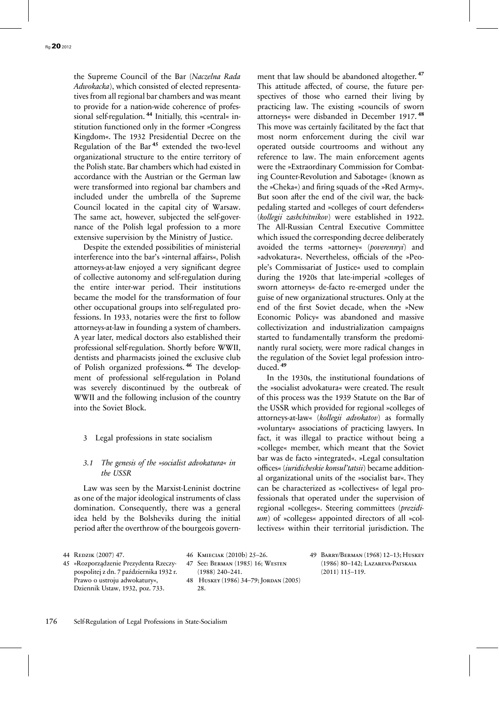the Supreme Council of the Bar (*Naczelna Rada Adwokacka*), which consisted of elected representatives from all regional bar chambers and was meant to provide for a nation-wide coherence of professional self-regulation.<sup>44</sup> Initially, this »central« institution functioned only in the former »Congress Kingdom«. The 1932 Presidential Decree on the Regulation of the Bar **<sup>45</sup>** extended the two-level organizational structure to the entire territory of the Polish state. Bar chambers which had existed in accordance with the Austrian or the German law were transformed into regional bar chambers and included under the umbrella of the Supreme Council located in the capital city of Warsaw. The same act, however, subjected the self-governance of the Polish legal profession to a more extensive supervision by the Ministry of Justice.

Despite the extended possibilities of ministerial interference into the bar's »internal affairs«, Polish attorneys-at-law enjoyed a very significant degree of collective autonomy and self-regulation during the entire inter-war period. Their institutions became the model for the transformation of four other occupational groups into self-regulated professions. In 1933, notaries were the first to follow attorneys-at-law in founding a system of chambers. A year later, medical doctors also established their professional self-regulation. Shortly before WWII, dentists and pharmacists joined the exclusive club of Polish organized professions. **<sup>46</sup>** The development of professional self-regulation in Poland was severely discontinued by the outbreak of WWII and the following inclusion of the country into the Soviet Block.

#### 3 Legal professions in state socialism

#### *3.1 The genesis of the »socialist advokatura« in the USSR*

Law was seen by the Marxist-Leninist doctrine as one of the major ideological instruments of class domination. Consequently, there was a general idea held by the Bolsheviks during the initial period after the overthrow of the bourgeois govern-

ment that law should be abandoned altogether. **<sup>47</sup>** This attitude affected, of course, the future perspectives of those who earned their living by practicing law. The existing »councils of sworn attorneys« were disbanded in December 1917. **<sup>48</sup>** This move was certainly facilitated by the fact that most norm enforcement during the civil war operated outside courtrooms and without any reference to law. The main enforcement agents were the »Extraordinary Commission for Combating Counter-Revolution and Sabotage« (known as the »Cheka«) and firing squads of the »Red Army«. But soon after the end of the civil war, the backpedaling started and »colleges of court defenders« (*kollegii zashchitnikov*) were established in 1922. The All-Russian Central Executive Committee which issued the corresponding decree deliberately avoided the terms »attorney« (*poverennyi*) and »advokatura«. Nevertheless, officials of the »People's Commissariat of Justice« used to complain during the 1920s that late-imperial »colleges of sworn attorneys« de-facto re-emerged under the guise of new organizational structures. Only at the end of the first Soviet decade, when the »New Economic Policy« was abandoned and massive collectivization and industrialization campaigns started to fundamentally transform the predominantly rural society, were more radical changes in the regulation of the Soviet legal profession introduced. **<sup>49</sup>**

In the 1930s, the institutional foundations of the »socialist advokatura« were created. The result of this process was the 1939 Statute on the Bar of the USSR which provided for regional »colleges of attorneys-at-law« (*kollegii advokatov*) as formally »voluntary« associations of practicing lawyers. In fact, it was illegal to practice without being a »college« member, which meant that the Soviet bar was de facto »integrated«. »Legal consultation offices« (*iuridicheskie konsul'tatsii*) became additional organizational units of the »socialist bar«. They can be characterized as »collectives« of legal professionals that operated under the supervision of regional »colleges«. Steering committees (*prezidium*) of »colleges« appointed directors of all »collectives« within their territorial jurisdiction. The

45 »Rozporządzenie Prezydenta Rzeczypospolitej z dn. 7 października 1932 r. Prawo o ustroju adwokatury«, Dziennik Ustaw, 1932, poz. 733.

46 Kmieciak (2010b) 25–26. 47 See: Berman (1985) 16; Westen

- (1988) 240–241. 48 Huskey (1986) 34–79; Jordan (2005) 28.
- 49 Barry/Berman (1968) 12–13; Huskey (1986) 80–142; Lazareva-Patskaia (2011) 115–119.

<sup>44</sup> Redzik (2007) 47.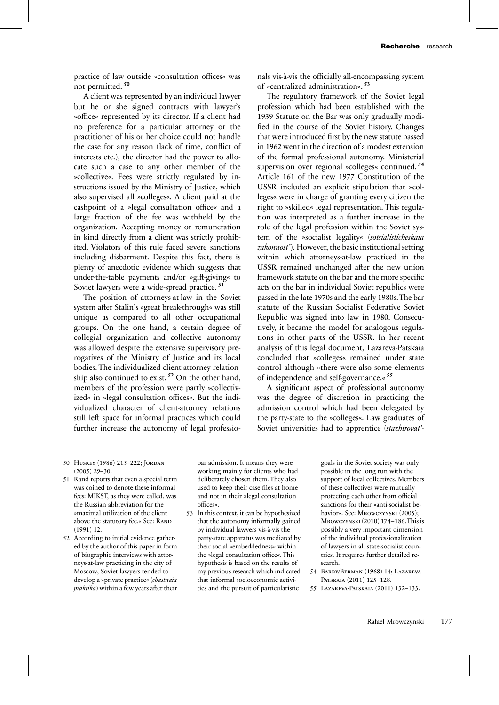practice of law outside »consultation offices« was not permitted. **<sup>50</sup>**

A client was represented by an individual lawyer but he or she signed contracts with lawyer's »office« represented by its director. If a client had no preference for a particular attorney or the practitioner of his or her choice could not handle the case for any reason (lack of time, conflict of interests etc.), the director had the power to allocate such a case to any other member of the »collective«. Fees were strictly regulated by instructions issued by the Ministry of Justice, which also supervised all »colleges«. A client paid at the cashpoint of a »legal consultation office« and a large fraction of the fee was withheld by the organization. Accepting money or remuneration in kind directly from a client was strictly prohibited. Violators of this rule faced severe sanctions including disbarment. Despite this fact, there is plenty of anecdotic evidence which suggests that under-the-table payments and/or »gift-giving« to Soviet lawyers were a wide-spread practice. **<sup>51</sup>**

The position of attorneys-at-law in the Soviet system after Stalin's »great break-through« was still unique as compared to all other occupational groups. On the one hand, a certain degree of collegial organization and collective autonomy was allowed despite the extensive supervisory prerogatives of the Ministry of Justice and its local bodies. The individualized client-attorney relationship also continued to exist. **<sup>52</sup>** On the other hand, members of the profession were partly »collectivized« in »legal consultation offices«. But the individualized character of client-attorney relations still left space for informal practices which could further increase the autonomy of legal professio-

nals vis-à-vis the officially all-encompassing system of »centralized administration«. **<sup>53</sup>**

The regulatory framework of the Soviet legal profession which had been established with the 1939 Statute on the Bar was only gradually modified in the course of the Soviet history. Changes that were introduced first by the new statute passed in 1962 went in the direction of a modest extension of the formal professional autonomy. Ministerial supervision over regional »colleges« continued. **<sup>54</sup>** Article 161 of the new 1977 Constitution of the USSR included an explicit stipulation that »colleges« were in charge of granting every citizen the right to »skilled« legal representation. This regulation was interpreted as a further increase in the role of the legal profession within the Soviet system of the »socialist legality« (*sotsialisticheskaia zakonnost'*). However, the basic institutional setting within which attorneys-at-law practiced in the USSR remained unchanged after the new union framework statute on the bar and the more specific acts on the bar in individual Soviet republics were passed in the late 1970s and the early 1980s.The bar statute of the Russian Socialist Federative Soviet Republic was signed into law in 1980. Consecutively, it became the model for analogous regulations in other parts of the USSR. In her recent analysis of this legal document, Lazareva-Patskaia concluded that »colleges« remained under state control although »there were also some elements of independence and self-governance.« **<sup>55</sup>**

A significant aspect of professional autonomy was the degree of discretion in practicing the admission control which had been delegated by the party-state to the »colleges«. Law graduates of Soviet universities had to apprentice (*stazhirovat'-*

- 50 Huskey (1986) 215–222; Jordan (2005) 29–30.
- 51 Rand reports that even a special term was coined to denote these informal fees: MIKST, as they were called, was the Russian abbreviation for the »maximal utilization of the client above the statutory fee.« See: RAND (1991) 12.
- 52 According to initial evidence gathered by the author of this paper in form of biographic interviews with attorneys-at-law practicing in the city of Moscow, Soviet lawyers tended to develop a »private practice« (*chastnaia praktika*) within a few years after their

bar admission. It means they were working mainly for clients who had deliberately chosen them. They also used to keep their case files at home and not in their »legal consultation offices«.

53 In this context, it can be hypothesized that the autonomy informally gained by individual lawyers vis-à-vis the party-state apparatus was mediated by their social »embeddedness« within the »legal consultation office«. This hypothesis is based on the results of my previous research which indicated that informal socioeconomic activities and the pursuit of particularistic

goals in the Soviet society was only possible in the long run with the support of local collectives. Members of these collectives were mutually protecting each other from official sanctions for their »anti-socialist behavior«. See: MROWCZYNSKI (2005); Mrowczynski (2010) 174–186.This is possibly a very important dimension of the individual professionalization of lawyers in all state-socialist countries. It requires further detailed research.

- 54 Barry/Berman (1968) 14; Lazareva-PATSKAIA (2011) 125-128.
- 55 Lazareva-Patskaia (2011) 132–133.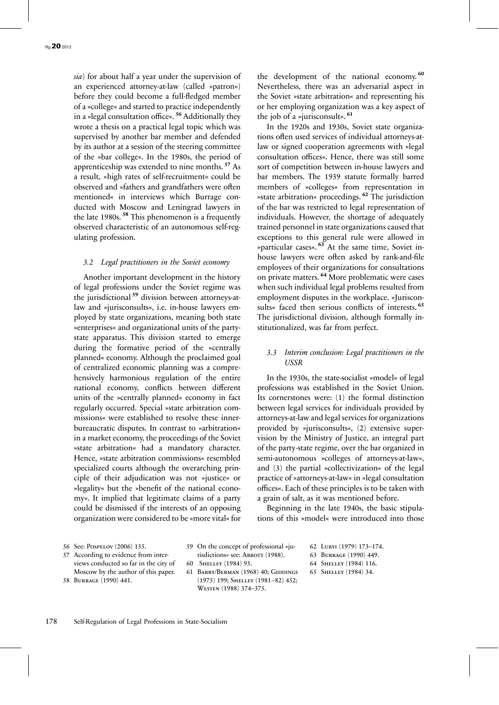*sia*) for about half a year under the supervision of an experienced attorney-at-law (called »patron«) before they could become a full-fledged member of a »college« and started to practice independently in a »legal consultation office«. **<sup>56</sup>** Additionally they wrote a thesis on a practical legal topic which was supervised by another bar member and defended by its author at a session of the steering committee of the »bar college«. In the 1980s, the period of apprenticeship was extended to nine months. **<sup>57</sup>** As a result, »high rates of self-recruitment« could be observed and »fathers and grandfathers were often mentioned« in interviews which Burrage conducted with Moscow and Leningrad lawyers in the late 1980s. **<sup>58</sup>** This phenomenon is a frequently observed characteristic of an autonomous self-regulating profession.

#### *3.2 Legal practitioners in the Soviet economy*

Another important development in the history of legal professions under the Soviet regime was the jurisdictional **<sup>59</sup>** division between attorneys-atlaw and »jurisconsults«, i.e. in-house lawyers employed by state organizations, meaning both state »enterprises« and organizational units of the partystate apparatus. This division started to emerge during the formative period of the »centrally planned« economy. Although the proclaimed goal of centralized economic planning was a comprehensively harmonious regulation of the entire national economy, conflicts between different units of the »centrally planned« economy in fact regularly occurred. Special »state arbitration commissions« were established to resolve these innerbureaucratic disputes. In contrast to »arbitration« in a market economy, the proceedings of the Soviet »state arbitration« had a mandatory character. Hence, »state arbitration commissions« resembled specialized courts although the overarching principle of their adjudication was not »justice« or »legality« but the »benefit of the national economy«. It implied that legitimate claims of a party could be dismissed if the interests of an opposing organization were considered to be »more vital« for the development of the national economy. **<sup>60</sup>** Nevertheless, there was an adversarial aspect in the Soviet »state arbitration« and representing his or her employing organization was a key aspect of the job of a »jurisconsult«. **<sup>61</sup>**

In the 1920s and 1930s, Soviet state organizations often used services of individual attorneys-atlaw or signed cooperation agreements with »legal consultation offices«. Hence, there was still some sort of competition between in-house lawyers and bar members. The 1939 statute formally barred members of »colleges« from representation in »state arbitration« proceedings. **<sup>62</sup>** The jurisdiction of the bar was restricted to legal representation of individuals. However, the shortage of adequately trained personnel in state organizations caused that exceptions to this general rule were allowed in »particular cases«. **<sup>63</sup>** At the same time, Soviet inhouse lawyers were often asked by rank-and-file employees of their organizations for consultations on private matters. **<sup>64</sup>** More problematic were cases when such individual legal problems resulted from employment disputes in the workplace. »Jurisconsults« faced then serious conflicts of interests. **<sup>65</sup>** The jurisdictional division, although formally institutionalized, was far from perfect.

### *3.3 Interim conclusion: Legal practitioners in the USSR*

In the 1930s, the state-socialist »model« of legal professions was established in the Soviet Union. Its cornerstones were: (1) the formal distinction between legal services for individuals provided by attorneys-at-law and legal services for organizations provided by »jurisconsults«, (2) extensive supervision by the Ministry of Justice, an integral part of the party-state regime, over the bar organized in semi-autonomous »colleges of attorneys-at-law«, and (3) the partial »collectivization« of the legal practice of »attorneys-at-law« in »legal consultation offices«. Each of these principles is to be taken with a grain of salt, as it was mentioned before.

Beginning in the late 1940s, the basic stipulations of this »model« were introduced into those

56 See: Pospelov (2006) 135.

57 According to evidence from interviews conducted so far in the city of Moscow by the author of this paper. 58 Burrage (1990) 441.

59 On the concept of professional »jurisdictions« see: ABBOTT (1988).

- 60 Shelley (1984) 93.
- 61 Barry/Berman (1968) 40; Giddings (1975) 199; Shelley (1981–82) 452; Westen (1988) 374–375.
- 62 Luryi (1979) 173–174.
- 63 Burrage (1990) 449.
- 64 Shelley (1984) 116.
- 65 Shelley (1984) 34.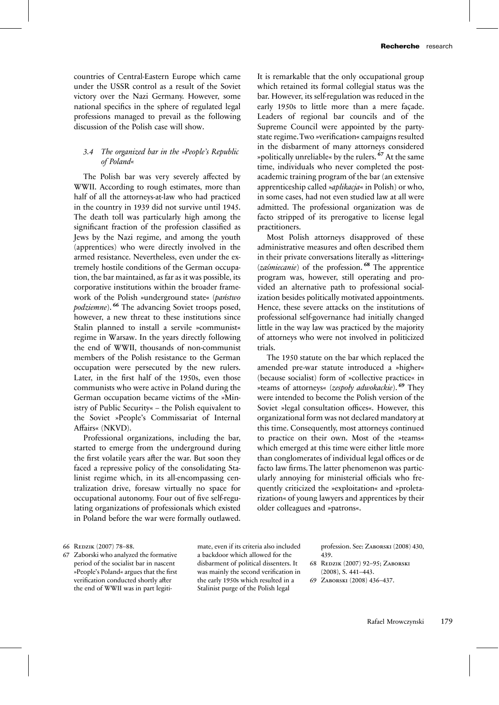countries of Central-Eastern Europe which came under the USSR control as a result of the Soviet victory over the Nazi Germany. However, some national specifics in the sphere of regulated legal professions managed to prevail as the following discussion of the Polish case will show.

# *3.4 The organized bar in the »People's Republic of Poland«*

The Polish bar was very severely affected by WWII. According to rough estimates, more than half of all the attorneys-at-law who had practiced in the country in 1939 did not survive until 1945. The death toll was particularly high among the significant fraction of the profession classified as Jews by the Nazi regime, and among the youth (apprentices) who were directly involved in the armed resistance. Nevertheless, even under the extremely hostile conditions of the German occupation, the bar maintained, as far as it was possible, its corporative institutions within the broader framework of the Polish »underground state« (*państwo podziemne*). <sup>66</sup> The advancing Soviet troops posed, however, a new threat to these institutions since Stalin planned to install a servile »communist« regime in Warsaw. In the years directly following the end of WWII, thousands of non-communist members of the Polish resistance to the German occupation were persecuted by the new rulers. Later, in the first half of the 1950s, even those communists who were active in Poland during the German occupation became victims of the »Ministry of Public Security« – the Polish equivalent to the Soviet »People's Commissariat of Internal Affairs« (NKVD).

Professional organizations, including the bar, started to emerge from the underground during the first volatile years after the war. But soon they faced a repressive policy of the consolidating Stalinist regime which, in its all-encompassing centralization drive, foresaw virtually no space for occupational autonomy. Four out of five self-regulating organizations of professionals which existed in Poland before the war were formally outlawed. It is remarkable that the only occupational group which retained its formal collegial status was the bar. However, its self-regulation was reduced in the early 1950s to little more than a mere façade. Leaders of regional bar councils and of the Supreme Council were appointed by the partystate regime.Two »verification« campaigns resulted in the disbarment of many attorneys considered »politically unreliable« by the rulers. **<sup>67</sup>** At the same time, individuals who never completed the postacademic training program of the bar (an extensive apprenticeship called »*aplikacja*« in Polish) or who, in some cases, had not even studied law at all were admitted. The professional organization was de facto stripped of its prerogative to license legal practitioners.

Most Polish attorneys disapproved of these administrative measures and often described them in their private conversations literally as »littering« (*zaśmiecanie*) of the profession. **<sup>68</sup>** The apprentice program was, however, still operating and provided an alternative path to professional socialization besides politically motivated appointments. Hence, these severe attacks on the institutions of professional self-governance had initially changed little in the way law was practiced by the majority of attorneys who were not involved in politicized trials.

The 1950 statute on the bar which replaced the amended pre-war statute introduced a »higher« (because socialist) form of »collective practice« in »teams of attorneys« (*zespoły adwokackie*). **<sup>69</sup>** They were intended to become the Polish version of the Soviet »legal consultation offices«. However, this organizational form was not declared mandatory at this time. Consequently, most attorneys continued to practice on their own. Most of the »teams« which emerged at this time were either little more than conglomerates of individual legal offices or de facto law firms. The latter phenomenon was particularly annoying for ministerial officials who frequently criticized the »exploitation« and »proletarization« of young lawyers and apprentices by their older colleagues and »patrons«.

66 Redzik (2007) 78–88.

67 Zaborski who analyzed the formative period of the socialist bar in nascent »People's Poland« argues that the first verification conducted shortly after the end of WWII was in part legitimate, even if its criteria also included a backdoor which allowed for the disbarment of political dissenters. It was mainly the second verification in the early 1950s which resulted in a Stalinist purge of the Polish legal

profession. See: Zaborski (2008) 430, 439.

- 68 Redzik (2007) 92–95; Zaborski (2008), S. 441–443.
- 69 Zaborski (2008) 436–437.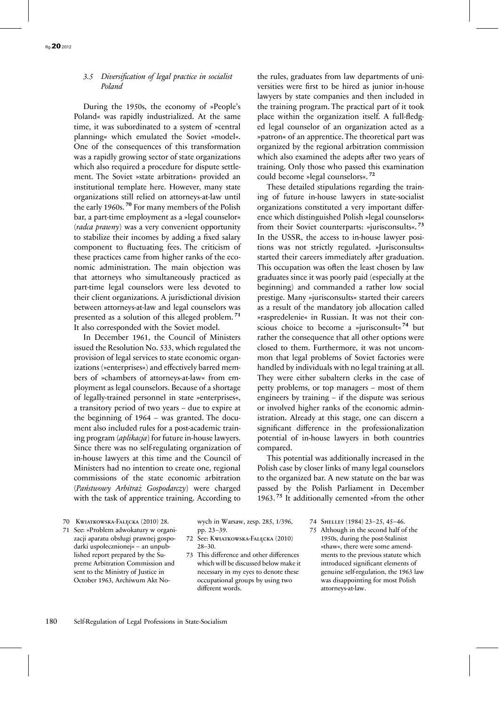# *3.5 Diversification of legal practice in socialist Poland*

During the 1950s, the economy of »People's Poland« was rapidly industrialized. At the same time, it was subordinated to a system of »central planning« which emulated the Soviet »model«. One of the consequences of this transformation was a rapidly growing sector of state organizations which also required a procedure for dispute settlement. The Soviet »state arbitration« provided an institutional template here. However, many state organizations still relied on attorneys-at-law until the early 1960s. **<sup>70</sup>** For many members of the Polish bar, a part-time employment as a »legal counselor« (*radca prawny*) was a very convenient opportunity to stabilize their incomes by adding a fixed salary component to fluctuating fees. The criticism of these practices came from higher ranks of the economic administration. The main objection was that attorneys who simultaneously practiced as part-time legal counselors were less devoted to their client organizations. A jurisdictional division between attorneys-at-law and legal counselors was presented as a solution of this alleged problem. **<sup>71</sup>** It also corresponded with the Soviet model.

In December 1961, the Council of Ministers issued the Resolution No. 533, which regulated the provision of legal services to state economic organizations (»enterprises«) and effectively barred members of »chambers of attorneys-at-law« from employment as legal counselors. Because of a shortage of legally-trained personnel in state »enterprises«, a transitory period of two years – due to expire at the beginning of 1964 – was granted. The document also included rules for a post-academic training program (*aplikacja*) for future in-house lawyers. Since there was no self-regulating organization of in-house lawyers at this time and the Council of Ministers had no intention to create one, regional commissions of the state economic arbitration (*Państwowy Arbitraż Gospodarczy*) were charged with the task of apprentice training. According to the rules, graduates from law departments of universities were first to be hired as junior in-house lawyers by state companies and then included in the training program. The practical part of it took place within the organization itself. A full-fledged legal counselor of an organization acted as a »patron« of an apprentice. The theoretical part was organized by the regional arbitration commission which also examined the adepts after two years of training. Only those who passed this examination could become »legal counselors«. **<sup>72</sup>**

These detailed stipulations regarding the training of future in-house lawyers in state-socialist organizations constituted a very important difference which distinguished Polish »legal counselors« from their Soviet counterparts: »jurisconsults«. **<sup>73</sup>** In the USSR, the access to in-house lawyer positions was not strictly regulated. »Jurisconsults« started their careers immediately after graduation. This occupation was often the least chosen by law graduates since it was poorly paid (especially at the beginning) and commanded a rather low social prestige. Many »jurisconsults« started their careers as a result of the mandatory job allocation called »raspredelenie« in Russian. It was not their conscious choice to become a »jurisconsult« **<sup>74</sup>** but rather the consequence that all other options were closed to them. Furthermore, it was not uncommon that legal problems of Soviet factories were handled by individuals with no legal training at all. They were either subaltern clerks in the case of petty problems, or top managers – most of them engineers by training – if the dispute was serious or involved higher ranks of the economic administration. Already at this stage, one can discern a significant difference in the professionalization potential of in-house lawyers in both countries compared.

This potential was additionally increased in the Polish case by closer links of many legal counselors to the organized bar. A new statute on the bar was passed by the Polish Parliament in December 1963. **<sup>75</sup>** It additionally cemented »from the other

70 Kwiatkowska-Falęcka (2010) 28.

71 See: »Problem adwokatury w organizacji aparatu obsługi prawnej gospodarki uspołecznionej« – an unpublished report prepared by the Supreme Arbitration Commission and sent to the Ministry of Justice in October 1963, Archiwum Akt Nowych in Warsaw, zesp. 285, 1/396, pp. 23–39.

- 72 See: Kwiatkowska-Falęcka (2010) 28–30.
- 73 This difference and other differences which will be discussed below make it necessary in my eyes to denote these occupational groups by using two different words.

74 Shelley (1984) 23–25, 45–46.

75 Although in the second half of the 1950s, during the post-Stalinist »thaw«, there were some amendments to the previous statute which introduced significant elements of genuine self-regulation, the 1963 law was disappointing for most Polish attorneys-at-law.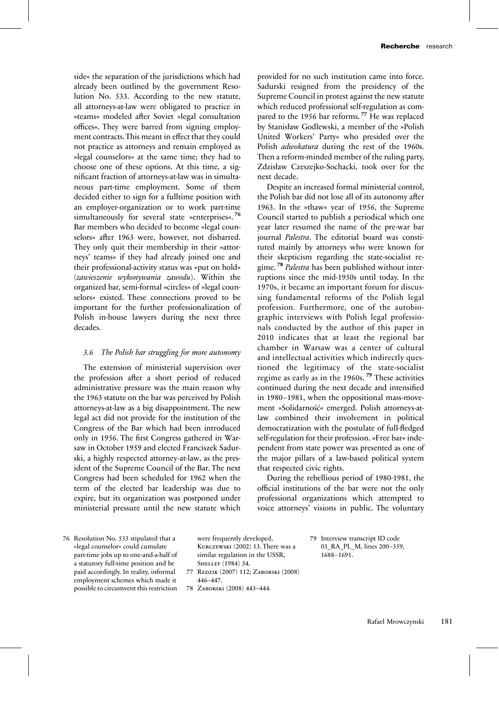side« the separation of the jurisdictions which had already been outlined by the government Resolution No. 533. According to the new statute, all attorneys-at-law were obligated to practice in »teams« modeled after Soviet »legal consultation offices«. They were barred from signing employment contracts.This meant in effect that they could not practice as attorneys and remain employed as »legal counselors« at the same time; they had to choose one of these options. At this time, a significant fraction of attorneys-at-law was in simultaneous part-time employment. Some of them decided either to sign for a fulltime position with an employer-organization or to work part-time simultaneously for several state »enterprises«. **<sup>76</sup>** Bar members who decided to become »legal counselors« after 1963 were, however, not disbarred. They only quit their membership in their »attorneys' teams« if they had already joined one and their professional-activity status was »put on hold« (*zawieszenie wykonywania zawodu*). Within the organized bar, semi-formal »circles« of »legal counselors« existed. These connections proved to be important for the further professionalization of Polish in-house lawyers during the next three decades.

### *3.6 The Polish bar struggling for more autonomy*

The extension of ministerial supervision over the profession after a short period of reduced administrative pressure was the main reason why the 1963 statute on the bar was perceived by Polish attorneys-at-law as a big disappointment. The new legal act did not provide for the institution of the Congress of the Bar which had been introduced only in 1956. The first Congress gathered in Warsaw in October 1959 and elected Franciszek Sadurski, a highly respected attorney-at-law, as the president of the Supreme Council of the Bar. The next Congress had been scheduled for 1962 when the term of the elected bar leadership was due to expire, but its organization was postponed under ministerial pressure until the new statute which

provided for no such institution came into force. Sadurski resigned from the presidency of the Supreme Council in protest against the new statute which reduced professional self-regulation as compared to the 1956 bar reforms.<sup>77</sup> He was replaced by Stanisław Godlewski, a member of the »Polish United Workers' Party« who presided over the Polish *adwokatura* during the rest of the 1960s. Then a reform-minded member of the ruling party, Zdzisław Czeszejko-Sochacki, took over for the next decade.

Despite an increased formal ministerial control, the Polish bar did not lose all of its autonomy after 1963. In the »thaw« year of 1956, the Supreme Council started to publish a periodical which one year later resumed the name of the pre-war bar journal *Palestra*. The editorial board was constituted mainly by attorneys who were known for their skepticism regarding the state-socialist regime. **<sup>78</sup>** *Palestra* has been published without interruptions since the mid-1950s until today. In the 1970s, it became an important forum for discussing fundamental reforms of the Polish legal profession. Furthermore, one of the autobiographic interviews with Polish legal professionals conducted by the author of this paper in 2010 indicates that at least the regional bar chamber in Warsaw was a center of cultural and intellectual activities which indirectly questioned the legitimacy of the state-socialist regime as early as in the 1960s. **<sup>79</sup>** These activities continued during the next decade and intensified in 1980–1981, when the oppositional mass-movement »Solidarność« emerged. Polish attorneys-atlaw combined their involvement in political democratization with the postulate of full-fledged self-regulation for their profession. »Free bar« independent from state power was presented as one of the major pillars of a law-based political system that respected civic rights.

During the rebellious period of 1980-1981, the official institutions of the bar were not the only professional organizations which attempted to voice attorneys' visions in public. The voluntary

76 Resolution No. 533 stipulated that a »legal counselor« could cumulate part-time jobs up to one-and-a-half of a statutory full-time position and be paid accordingly. In reality, informal employment schemes which made it possible to circumvent this restriction

were frequently developed, Kurczewski (2002) 13. There was a similar regulation in the USSR, Shelley (1984) 34.

77 Redzik (2007) 112; Zaborski (2008) 446–447.

78 Zaborski (2008) 443–444.

79 Interview transcript ID code 03\_RA\_PL\_M, lines 200–359, 1688–1691.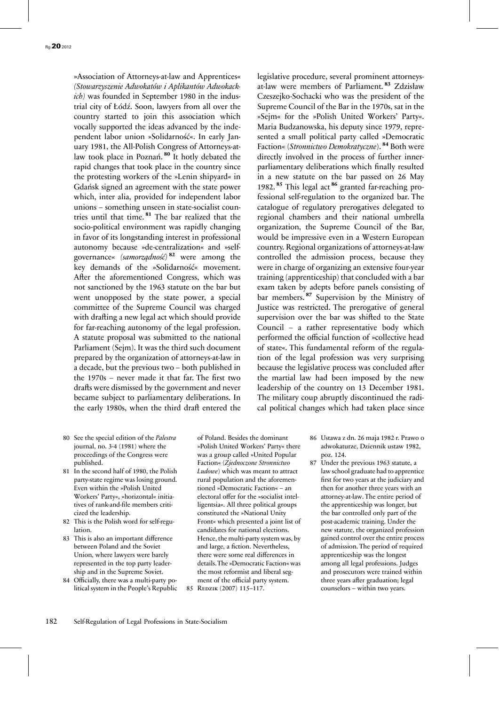»Association of Attorneys-at-law and Apprentices« *(Stowarzyszenie Adwokatów i Aplikantów Adwokackich)* was founded in September 1980 in the industrial city of Łódź. Soon, lawyers from all over the country started to join this association which vocally supported the ideas advanced by the independent labor union »Solidarność«. In early January 1981, the All-Polish Congress of Attorneys-atlaw took place in Poznań. **<sup>80</sup>** It hotly debated the rapid changes that took place in the country since the protesting workers of the »Lenin shipyard« in Gdańsk signed an agreement with the state power which, inter alia, provided for independent labor unions – something unseen in state-socialist countries until that time. **<sup>81</sup>** The bar realized that the socio-political environment was rapidly changing in favor of its longstanding interest in professional autonomy because »de-centralization« and »selfgovernance« *(samorządność)* **<sup>82</sup>** were among the key demands of the »Solidarność« movement. After the aforementioned Congress, which was not sanctioned by the 1963 statute on the bar but went unopposed by the state power, a special committee of the Supreme Council was charged with drafting a new legal act which should provide for far-reaching autonomy of the legal profession. A statute proposal was submitted to the national Parliament (Sejm). It was the third such document prepared by the organization of attorneys-at-law in a decade, but the previous two – both published in the 1970s – never made it that far. The first two drafts were dismissed by the government and never became subject to parliamentary deliberations. In the early 1980s, when the third draft entered the

- 80 See the special edition of the *Palestra*  journal, no. 3-4 (1981) where the proceedings of the Congress were published.
- 81 In the second half of 1980, the Polish party-state regime was losing ground. Even within the »Polish United Workers' Party«, »horizontal« initiatives of rank-and-file members criticized the leadership.
- 82 This is the Polish word for self-regulation.
- 83 This is also an important difference between Poland and the Soviet Union, where lawyers were barely represented in the top party leadership and in the Supreme Soviet.
- 84 Officially, there was a multi-party political system in the People's Republic

of Poland. Besides the dominant »Polish United Workers' Party« there was a group called »United Popular Faction« (*Zjednoczone Stronnictwo Ludowe*) which was meant to attract rural population and the aforementioned »Democratic Faction« – an electoral offer for the »socialist intelligentsia«. All three political groups constituted the »National Unity Front« which presented a joint list of candidates for national elections. Hence, the multi-party system was, by and large, a fiction. Nevertheless, there were some real differences in details.The »Democratic Faction« was the most reformist and liberal segment of the official party system. 85 REDZIK (2007) 115-117.

legislative procedure, several prominent attorneysat-law were members of Parliament. **<sup>83</sup>** Zdzisław Czeszejko-Sochacki who was the president of the Supreme Council of the Bar in the 1970s, sat in the »Sejm« for the »Polish United Workers' Party«. Maria Budzanowska, his deputy since 1979, represented a small political party called »Democratic Faction« (*Stronnictwo Demokratyczne*). **<sup>84</sup>** Both were directly involved in the process of further innerparliamentary deliberations which finally resulted in a new statute on the bar passed on 26 May 1982. **<sup>85</sup>** This legal act **<sup>86</sup>** granted far-reaching professional self-regulation to the organized bar. The catalogue of regulatory prerogatives delegated to regional chambers and their national umbrella organization, the Supreme Council of the Bar, would be impressive even in a Western European country. Regional organizations of attorneys-at-law controlled the admission process, because they were in charge of organizing an extensive four-year training (apprenticeship) that concluded with a bar exam taken by adepts before panels consisting of bar members. **<sup>87</sup>** Supervision by the Ministry of Justice was restricted. The prerogative of general supervision over the bar was shifted to the State Council – a rather representative body which performed the official function of »collective head of state«. This fundamental reform of the regulation of the legal profession was very surprising because the legislative process was concluded after the martial law had been imposed by the new leadership of the country on 13 December 1981. The military coup abruptly discontinued the radical political changes which had taken place since

- 86 Ustawa z dn. 26 maja 1982 r. Prawo o adwokaturze, Dziennik ustaw 1982, poz. 124.
- 87 Under the previous 1963 statute, a law school graduate had to apprentice first for two years at the judiciary and then for another three years with an attorney-at-law. The entire period of the apprenticeship was longer, but the bar controlled only part of the post-academic training. Under the new statute, the organized profession gained control over the entire process of admission. The period of required apprenticeship was the longest among all legal professions. Judges and prosecutors were trained within three years after graduation; legal counselors – within two years.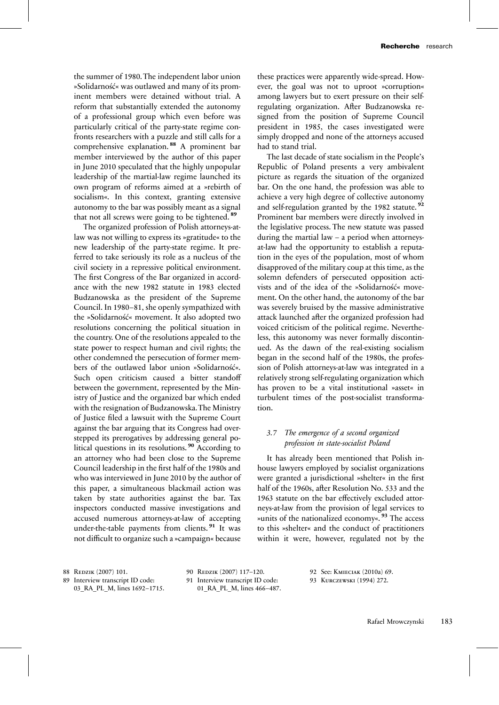the summer of 1980. The independent labor union »Solidarność« was outlawed and many of its prominent members were detained without trial. A reform that substantially extended the autonomy of a professional group which even before was particularly critical of the party-state regime confronts researchers with a puzzle and still calls for a comprehensive explanation. **<sup>88</sup>** A prominent bar member interviewed by the author of this paper in June 2010 speculated that the highly unpopular leadership of the martial-law regime launched its own program of reforms aimed at a »rebirth of socialism«. In this context, granting extensive autonomy to the bar was possibly meant as a signal that not all screws were going to be tightened. **<sup>89</sup>**

The organized profession of Polish attorneys-atlaw was not willing to express its »gratitude« to the new leadership of the party-state regime. It preferred to take seriously its role as a nucleus of the civil society in a repressive political environment. The first Congress of the Bar organized in accordance with the new 1982 statute in 1983 elected Budzanowska as the president of the Supreme Council. In 1980–81, she openly sympathized with the »Solidarność« movement. It also adopted two resolutions concerning the political situation in the country. One of the resolutions appealed to the state power to respect human and civil rights; the other condemned the persecution of former members of the outlawed labor union »Solidarność«. Such open criticism caused a bitter standoff between the government, represented by the Ministry of Justice and the organized bar which ended with the resignation of Budzanowska.The Ministry of Justice filed a lawsuit with the Supreme Court against the bar arguing that its Congress had overstepped its prerogatives by addressing general political questions in its resolutions. **<sup>90</sup>** According to an attorney who had been close to the Supreme Council leadership in the first half of the 1980s and who was interviewed in June 2010 by the author of this paper, a simultaneous blackmail action was taken by state authorities against the bar. Tax inspectors conducted massive investigations and accused numerous attorneys-at-law of accepting under-the-table payments from clients. **<sup>91</sup>** It was not difficult to organize such a »campaign« because these practices were apparently wide-spread. However, the goal was not to uproot »corruption« among lawyers but to exert pressure on their selfregulating organization. After Budzanowska resigned from the position of Supreme Council president in 1985, the cases investigated were simply dropped and none of the attorneys accused had to stand trial.

The last decade of state socialism in the People's Republic of Poland presents a very ambivalent picture as regards the situation of the organized bar. On the one hand, the profession was able to achieve a very high degree of collective autonomy and self-regulation granted by the 1982 statute. **<sup>92</sup>** Prominent bar members were directly involved in the legislative process. The new statute was passed during the martial law – a period when attorneysat-law had the opportunity to establish a reputation in the eyes of the population, most of whom disapproved of the military coup at this time, as the solemn defenders of persecuted opposition activists and of the idea of the »Solidarność« movement. On the other hand, the autonomy of the bar was severely bruised by the massive administrative attack launched after the organized profession had voiced criticism of the political regime. Nevertheless, this autonomy was never formally discontinued. As the dawn of the real-existing socialism began in the second half of the 1980s, the profession of Polish attorneys-at-law was integrated in a relatively strong self-regulating organization which has proven to be a vital institutional »asset« in turbulent times of the post-socialist transformation.

# *3.7 The emergence of a second organized profession in state-socialist Poland*

It has already been mentioned that Polish inhouse lawyers employed by socialist organizations were granted a jurisdictional »shelter« in the first half of the 1960s, after Resolution No. 533 and the 1963 statute on the bar effectively excluded attorneys-at-law from the provision of legal services to »units of the nationalized economy«. **<sup>93</sup>** The access to this »shelter« and the conduct of practitioners within it were, however, regulated not by the

| 88 REDZIK (2007) 101.            | 90 REDZIK (2007) 117-120.        |
|----------------------------------|----------------------------------|
| 89 Interview transcript ID code: | 91 Interview transcript ID code: |
| 03 RA PL M, lines 1692-1715.     | 01 RA PL M, lines 466-487.       |

92 See: Kmieciak (2010a) 69. 93 Kurczewski (1994) 272.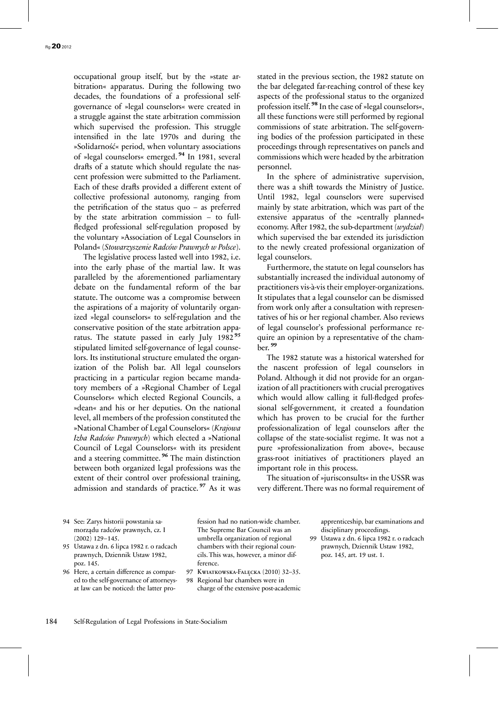occupational group itself, but by the »state arbitration« apparatus. During the following two decades, the foundations of a professional selfgovernance of »legal counselors« were created in a struggle against the state arbitration commission which supervised the profession. This struggle intensified in the late 1970s and during the »Solidarność« period, when voluntary associations of »legal counselors« emerged. **<sup>94</sup>** In 1981, several drafts of a statute which should regulate the nascent profession were submitted to the Parliament. Each of these drafts provided a different extent of collective professional autonomy, ranging from the petrification of the status quo – as preferred by the state arbitration commission – to fullfledged professional self-regulation proposed by the voluntary »Association of Legal Counselors in Poland« (*Stowarzyszenie Radców Prawnych w Polsce*).

The legislative process lasted well into 1982, i.e. into the early phase of the martial law. It was paralleled by the aforementioned parliamentary debate on the fundamental reform of the bar statute. The outcome was a compromise between the aspirations of a majority of voluntarily organized »legal counselors« to self-regulation and the conservative position of the state arbitration apparatus. The statute passed in early July 1982 **<sup>95</sup>** stipulated limited self-governance of legal counselors. Its institutional structure emulated the organization of the Polish bar. All legal counselors practicing in a particular region became mandatory members of a »Regional Chamber of Legal Counselors« which elected Regional Councils, a »dean« and his or her deputies. On the national level, all members of the profession constituted the »National Chamber of Legal Counselors« (*Krajowa Izba Radców Prawnych*) which elected a »National Council of Legal Counselors« with its president and a steering committee. **<sup>96</sup>** The main distinction between both organized legal professions was the extent of their control over professional training, admission and standards of practice. **<sup>97</sup>** As it was stated in the previous section, the 1982 statute on the bar delegated far-reaching control of these key aspects of the professional status to the organized profession itself. **<sup>98</sup>** In the case of »legal counselors«, all these functions were still performed by regional commissions of state arbitration. The self-governing bodies of the profession participated in these proceedings through representatives on panels and commissions which were headed by the arbitration personnel.

In the sphere of administrative supervision, there was a shift towards the Ministry of Justice. Until 1982, legal counselors were supervised mainly by state arbitration, which was part of the extensive apparatus of the »centrally planned« economy. After 1982, the sub-department (*wydział*) which supervised the bar extended its jurisdiction to the newly created professional organization of legal counselors.

Furthermore, the statute on legal counselors has substantially increased the individual autonomy of practitioners vis-à-vis their employer-organizations. It stipulates that a legal counselor can be dismissed from work only after a consultation with representatives of his or her regional chamber. Also reviews of legal counselor's professional performance require an opinion by a representative of the chamber. **<sup>99</sup>**

The 1982 statute was a historical watershed for the nascent profession of legal counselors in Poland. Although it did not provide for an organization of all practitioners with crucial prerogatives which would allow calling it full-fledged professional self-government, it created a foundation which has proven to be crucial for the further professionalization of legal counselors after the collapse of the state-socialist regime. It was not a pure »professionalization from above«, because grass-root initiatives of practitioners played an important role in this process.

The situation of »jurisconsults« in the USSR was very different. There was no formal requirement of

94 See: Zarys historii powstania samorządu radców prawnych, cz. I (2002) 129–145.

- 95 Ustawa z dn. 6 lipca 1982 r. o radcach prawnych, Dziennik Ustaw 1982, poz. 145.
- 96 Here, a certain difference as compared to the self-governance of attorneysat law can be noticed: the latter pro-

fession had no nation-wide chamber. The Supreme Bar Council was an umbrella organization of regional chambers with their regional councils. This was, however, a minor difference.

97 Kwiatkowska-Falęcka (2010) 32–35. 98 Regional bar chambers were in

charge of the extensive post-academic

apprenticeship, bar examinations and disciplinary proceedings.

99 Ustawa z dn. 6 lipca 1982 r. o radcach prawnych, Dziennik Ustaw 1982, poz. 145, art. 19 ust. 1.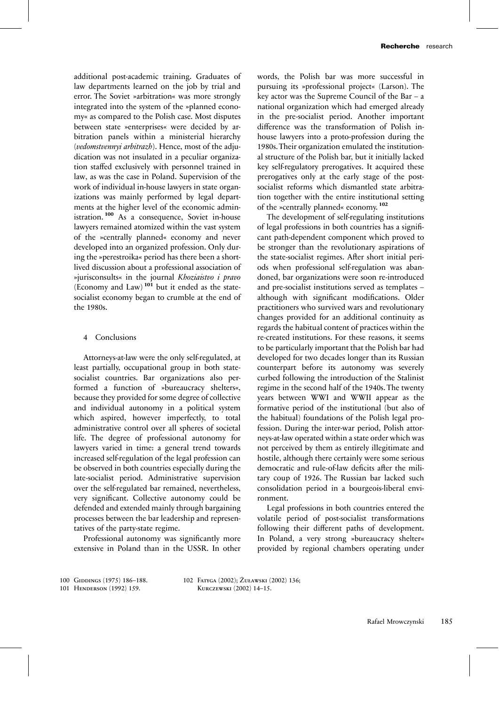additional post-academic training. Graduates of law departments learned on the job by trial and error. The Soviet »arbitration« was more strongly integrated into the system of the »planned economy« as compared to the Polish case. Most disputes between state »enterprises« were decided by arbitration panels within a ministerial hierarchy (*vedomstvennyi arbitrazh*). Hence, most of the adjudication was not insulated in a peculiar organization staffed exclusively with personnel trained in law, as was the case in Poland. Supervision of the work of individual in-house lawyers in state organizations was mainly performed by legal departments at the higher level of the economic administration. **<sup>100</sup>** As a consequence, Soviet in-house lawyers remained atomized within the vast system of the »centrally planned« economy and never developed into an organized profession. Only during the »perestroika« period has there been a shortlived discussion about a professional association of »jurisconsults« in the journal *Khoziaistvo i pravo* (Economy and Law) **<sup>101</sup>** but it ended as the statesocialist economy began to crumble at the end of the 1980s.

#### 4 Conclusions

Attorneys-at-law were the only self-regulated, at least partially, occupational group in both statesocialist countries. Bar organizations also performed a function of »bureaucracy shelters«, because they provided for some degree of collective and individual autonomy in a political system which aspired, however imperfectly, to total administrative control over all spheres of societal life. The degree of professional autonomy for lawyers varied in time: a general trend towards increased self-regulation of the legal profession can be observed in both countries especially during the late-socialist period. Administrative supervision over the self-regulated bar remained, nevertheless, very significant. Collective autonomy could be defended and extended mainly through bargaining processes between the bar leadership and representatives of the party-state regime.

Professional autonomy was significantly more extensive in Poland than in the USSR. In other words, the Polish bar was more successful in pursuing its »professional project« (Larson). The key actor was the Supreme Council of the Bar – a national organization which had emerged already in the pre-socialist period. Another important difference was the transformation of Polish inhouse lawyers into a proto-profession during the 1980s.Their organization emulated the institutional structure of the Polish bar, but it initially lacked key self-regulatory prerogatives. It acquired these prerogatives only at the early stage of the postsocialist reforms which dismantled state arbitration together with the entire institutional setting of the »centrally planned« economy. **<sup>102</sup>**

The development of self-regulating institutions of legal professions in both countries has a significant path-dependent component which proved to be stronger than the revolutionary aspirations of the state-socialist regimes. After short initial periods when professional self-regulation was abandoned, bar organizations were soon re-introduced and pre-socialist institutions served as templates – although with significant modifications. Older practitioners who survived wars and revolutionary changes provided for an additional continuity as regards the habitual content of practices within the re-created institutions. For these reasons, it seems to be particularly important that the Polish bar had developed for two decades longer than its Russian counterpart before its autonomy was severely curbed following the introduction of the Stalinist regime in the second half of the 1940s. The twenty years between WWI and WWII appear as the formative period of the institutional (but also of the habitual) foundations of the Polish legal profession. During the inter-war period, Polish attorneys-at-law operated within a state order which was not perceived by them as entirely illegitimate and hostile, although there certainly were some serious democratic and rule-of-law deficits after the military coup of 1926. The Russian bar lacked such consolidation period in a bourgeois-liberal environment.

Legal professions in both countries entered the volatile period of post-socialist transformations following their different paths of development. In Poland, a very strong »bureaucracy shelter« provided by regional chambers operating under

100 Giddings (1975) 186–188. 101 Henderson (1992) 159.

102 Fatyga (2002); Żuławski (2002) 136; Kurczewski (2002) 14–15.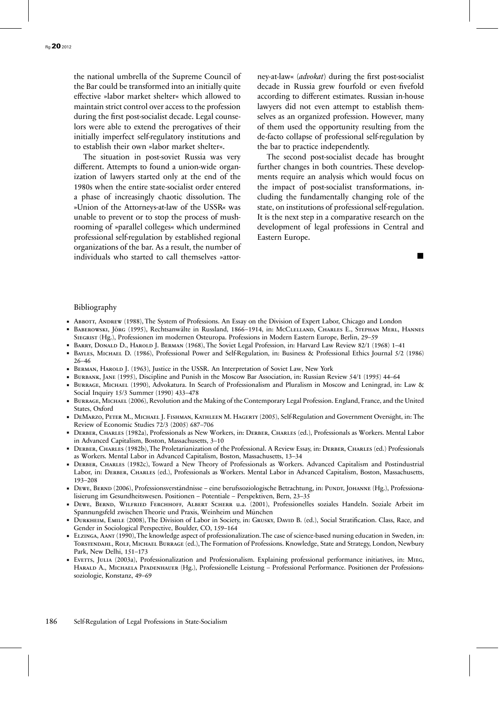the national umbrella of the Supreme Council of the Bar could be transformed into an initially quite effective »labor market shelter« which allowed to maintain strict control over access to the profession during the first post-socialist decade. Legal counselors were able to extend the prerogatives of their initially imperfect self-regulatory institutions and to establish their own »labor market shelter«.

The situation in post-soviet Russia was very different. Attempts to found a union-wide organization of lawyers started only at the end of the 1980s when the entire state-socialist order entered a phase of increasingly chaotic dissolution. The »Union of the Attorneys-at-law of the USSR« was unable to prevent or to stop the process of mushrooming of »parallel colleges« which undermined professional self-regulation by established regional organizations of the bar. As a result, the number of individuals who started to call themselves »attorney-at-law« (*advokat*) during the first post-socialist decade in Russia grew fourfold or even fivefold according to different estimates. Russian in-house lawyers did not even attempt to establish themselves as an organized profession. However, many of them used the opportunity resulting from the de-facto collapse of professional self-regulation by the bar to practice independently.

The second post-socialist decade has brought further changes in both countries. These developments require an analysis which would focus on the impact of post-socialist transformations, including the fundamentally changing role of the state, on institutions of professional self-regulation. It is the next step in a comparative research on the development of legal professions in Central and Eastern Europe.

#### Bibliography

- Abbott, Andrew (1988), The System of Professions. An Essay on the Division of Expert Labor, Chicago and London Baberowski, Jörg (1995), Rechtsanwälte in Russland, 1866–1914, in: McClelland, Charles E., Stephan Merl, Hannes
- Siegrist (Hg.), Professionen im modernen Osteuropa. Professions in Modern Eastern Europe, Berlin, 29–59 Barry, Donald D., Harold J. Berman (1968), The Soviet Legal Profession, in: Harvard Law Review 82/1 (1968) 1–41
- Bayles, Michael D. (1986), Professional Power and Self-Regulation, in: Business & Professional Ethics Journal 5/2 (1986) 26–46
- BERMAN, HAROLD J. (1963), Justice in the USSR. An Interpretation of Soviet Law, New York
- Burbank, Jane (1995), Discipline and Punish in the Moscow Bar Association, in: Russian Review 54/1 (1995) 44–64
- BURRAGE, MICHAEL (1990), Advokatura. In Search of Professionalism and Pluralism in Moscow and Leningrad, in: Law & Social Inquiry 15/3 Summer (1990) 433–478
- BURRAGE, MICHAEL (2006), Revolution and the Making of the Contemporary Legal Profession. England, France, and the United States, Oxford
- DeMarzo, Peter M., Michael J. Fishman, Kathleen M. Hagerty (2005), Self-Regulation and Government Oversight, in: The Review of Economic Studies 72/3 (2005) 687–706
- Derber, Charles (1982a), Professionals as New Workers, in: Derber, Charles (ed.), Professionals as Workers. Mental Labor in Advanced Capitalism, Boston, Massachusetts, 3–10
- Derber, Charles (1982b), The Proletarianization of the Professional. A Review Essay, in: Derber, Charles (ed.) Professionals as Workers. Mental Labor in Advanced Capitalism, Boston, Massachusetts, 13–34
- Derber, Charles (1982c), Toward a New Theory of Professionals as Workers. Advanced Capitalism and Postindustrial Labor, in: Derber, Charles (ed.), Professionals as Workers. Mental Labor in Advanced Capitalism, Boston, Massachusetts, 193–208
- DEWE, BERND (2006), Professionsverständnisse eine berufssoziologische Betrachtung, in: PUNDT, JOHANNE (Hg.), Professionalisierung im Gesundheitswesen. Positionen – Potentiale – Perspektiven, Bern, 23–35
- Dewe, Bernd, Wilfried Ferchhoff, Albert Scherr u.a. (2001), Professionelles soziales Handeln. Soziale Arbeit im Spannungsfeld zwischen Theorie und Praxis, Weinheim und München
- DURKHEIM, EMILE (2008), The Division of Labor in Society, in: GRUSKY, DAVID B. (ed.), Social Stratification. Class, Race, and Gender in Sociological Perspective, Boulder, CO, 159–164
- Elzinga, Aant (1990), The knowledge aspect of professionalization.The case of science-based nursing education in Sweden, in: Torstendahl, Rolf, Michael Burrage (ed.),The Formation of Professions. Knowledge, State and Strategy, London, Newbury Park, New Delhi, 151–173
- Evetts, Julia (2003a), Professionalization and Professionalism. Explaining professional performance initiatives, in: Mieg, Harald A., Michaela Pfadenhauer (Hg.), Professionelle Leistung – Professional Performance. Positionen der Professionssoziologie, Konstanz, 49–69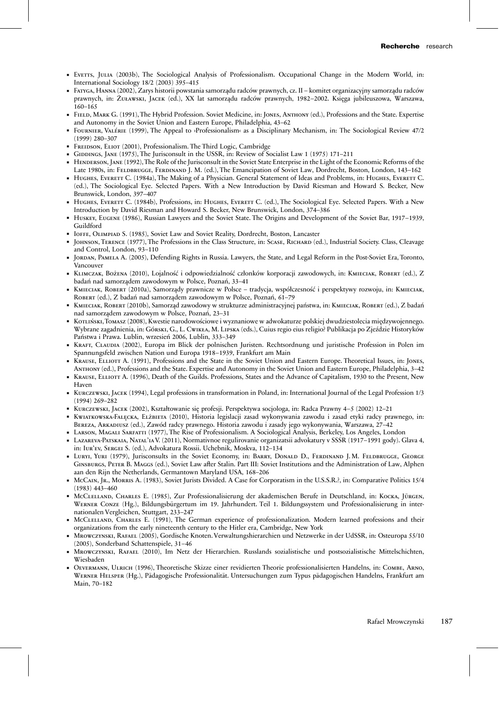- Evetts, Julia (2003b), The Sociological Analysis of Professionalism. Occupational Change in the Modern World, in: International Sociology 18/2 (2003) 395–415
- Fatyga, Hanna (2002), Zarys historii powstania samorządu radców prawnych, cz. II komitet organizacyjny samorządu radców prawnych, in: Żuławski, Jacek (ed.), XX lat samorządu radców prawnych, 1982–2002. Księga jubileuszowa, Warszawa, 160–165
- Field, Mark G. (1991), The Hybrid Profession. Soviet Medicine, in: Jones, Anthony (ed.), Professions and the State. Expertise and Autonomy in the Soviet Union and Eastern Europe, Philadelphia, 43–62
- Fournier, Valérie (1999), The Appeal to ›Professionalism‹ as a Disciplinary Mechanism, in: The Sociological Review 47/2 (1999) 280–307
- FREIDSON, ELIOT (2001), Professionalism. The Third Logic, Cambridge
- GIDDINGS, JANE (1975), The Jurisconsult in the USSR, in: Review of Socialist Law 1 (1975) 171–211
- HENDERSON, JANE (1992), The Role of the Jurisconsult in the Soviet State Enterprise in the Light of the Economic Reforms of the Late 1980s, in: FELDBRUGGE, FERDINAND J. M. (ed.), The Emancipation of Soviet Law, Dordrecht, Boston, London, 143-162
- HUGHES, EVERETT C. (1984a), The Making of a Physician. General Statement of Ideas and Problems, in: HUGHES, EVERETT C. (ed.), The Sociological Eye. Selected Papers. With a New Introduction by David Riesman and Howard S. Becker, New Brunswick, London, 397–407
- HUGHES, EVERETT C. (1984b), Professions, in: HUGHES, EVERETT C. (ed.), The Sociological Eye. Selected Papers. With a New Introduction by David Riesman and Howard S. Becker, New Brunswick, London, 374–386
- Huskey, Eugene (1986), Russian Lawyers and the Soviet State. The Origins and Development of the Soviet Bar, 1917–1939, Guildford
- Ioffe, Olimpiad S. (1985), Soviet Law and Soviet Reality, Dordrecht, Boston, Lancaster
- Johnson, Terence (1977), The Professions in the Class Structure, in: Scase, Richard (ed.), Industrial Society. Class, Cleavage and Control, London, 93–110
- Jordan, Pamela A. (2005), Defending Rights in Russia. Lawyers, the State, and Legal Reform in the Post-Soviet Era, Toronto, Vancouver
- KLIMCZAK, Bożena (2010), Lojalność i odpowiedzialność członków korporacji zawodowych, in: KMIECIAK, ROBERT (ed.), Z badań nad samorządem zawodowym w Polsce, Poznań, 33–41
- Kmieciak, Robert (2010a), Samorządy prawnicze w Polsce tradycja, współczesność i perspektywy rozwoju, in: Kmieciak, ROBERT (ed.), Z badań nad samorządem zawodowym w Polsce, Poznań, 61-79
- Kmieciak, Robert (2010b), Samorząd zawodowy w strukturze administracyjnej państwa, in: Kmieciak, Robert (ed.), Z badań nad samorządem zawodowym w Polsce, Poznań, 23–31
- Kotliński,Tomasz (2008), Kwestie narodowościowe i wyznaniowe w adwokaturze polskiej dwudziestolecia międzywojennego. Wybrane zagadnienia, in: Górski, G., L. Cwikła, M. Lipska (eds.), Cuius regio eius religio? Publikacja po Zjeździe Historyków Państwa i Prawa. Lublin, wrzesień 2006, Lublin, 333–349
- Kraft, Claudia (2002), Europa im Blick der polnischen Juristen. Rechtsordnung und juristische Profession in Polen im Spannungsfeld zwischen Nation und Europa 1918–1939, Frankfurt am Main
- Krause, Elliott A. (1991), Professions and the State in the Soviet Union and Eastern Europe. Theoretical Issues, in: Jones, Anthony (ed.), Professions and the State. Expertise and Autonomy in the Soviet Union and Eastern Europe, Philadelphia, 3–42
- KRAUSE, ELLIOTT A. (1996), Death of the Guilds. Professions, States and the Advance of Capitalism, 1930 to the Present, New Haven
- Kurczewski, Jacek (1994), Legal professions in transformation in Poland, in: International Journal of the Legal Profession 1/3 (1994) 269–282
- Kurczewski, Jacek (2002), Kształtowanie się profesji. Perspektywa socjologa, in: Radca Prawny 4–5 (2002) 12–21
- Kwiatkowska-Falęcka, Elżbieta (2010), Historia legislacji zasad wykonywania zawodu i zasad etyki radcy prawnego, in: Bereza, Arkadiusz (ed.), Zawód radcy prawnego. Historia zawodu i zasady jego wykonywania, Warszawa, 27–42
- Larson, Magali Sarfatti (1977), The Rise of Professionalism. A Sociological Analysis, Berkeley, Los Angeles, London
- Lazareva-Patskaia, Natal'iaV. (2011), Normativnoe regulirovanie organizatsii advokatury v SSSR (1917–1991 gody). Glava 4, in: Iur'ev, Sergei S. (ed.), Advokatura Rossii. Uchebnik, Moskva, 112–134
- Luryi, Yuri (1979), Jurisconsults in the Soviet Economy, in: Barry, Donald D., Ferdinand J. M. Feldbrugge, George Ginsburgs, Peter B. Maggs (ed.), Soviet Law after Stalin. Part III: Soviet Institutions and the Administration of Law, Alphen aan den Rijn the Netherlands, Germantown Maryland USA, 168–206
- McCain, Jr., Morris A. (1983), Soviet Jurists Divided. A Case for Corporatism in the U.S.S.R.?, in: Comparative Politics 15/4 (1983) 443–460
- McClelland, Charles E. (1985), Zur Professionalisierung der akademischen Berufe in Deutschland, in: Kocka, Jürgen, Werner Conze (Hg.), Bildungsbürgertum im 19. Jahrhundert. Teil 1. Bildungssystem und Professionalisierung in internationalen Vergleichen, Stuttgart, 233–247
- McClelland, Charles E. (1991), The German experience of professionalization. Modern learned professions and their organizations from the early nineteenth century to the Hitler era, Cambridge, New York
- Mrowczynski, Rafael (2005), Gordische Knoten. Verwaltungshierarchien und Netzwerke in der UdSSR, in: Osteuropa 55/10 (2005), Sonderband Schattenspiele, 31–46
- Mrowczynski, Rafael (2010), Im Netz der Hierarchien. Russlands sozialistische und postsozialistische Mittelschichten, Wiesbaden
- Oevermann, Ulrich (1996), Theoretische Skizze einer revidierten Theorie professionalisierten Handelns, in: Combe, Arno, Werner Helsper (Hg.), Pädagogische Professionalität. Untersuchungen zum Typus pädagogischen Handelns, Frankfurt am Main, 70–182